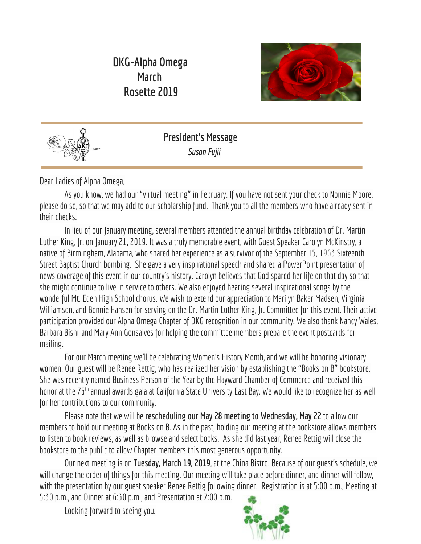# **DKG-Alpha Omega March Rosette 2019**





**President's Message Susan Fujii** 

Dear Ladies of Alpha Omega,

As you know, we had our "virtual meeting" in February. If you have not sent your check to Nonnie Moore, please do so, so that we may add to our scholarship fund. Thank you to all the members who have already sent in their checks.

In lieu of our January meeting, several members attended the annual birthday celebration of Dr. Martin Luther King, Jr. on January 21, 2019. It was a truly memorable event, with Guest Speaker Carolyn McKinstry, a native of Birmingham, Alabama, who shared her experience as a survivor of the September 15, 1963 Sixteenth Street Baptist Church bombing. She gave a very inspirational speech and shared a PowerPoint presentation of news coverage of this event in our country's history. Carolyn believes that God spared her life on that day so that she might continue to live in service to others. We also enjoyed hearing several inspirational songs by the wonderful Mt. Eden High School chorus. We wish to extend our appreciation to Marilyn Baker Madsen, Virginia Williamson, and Bonnie Hansen for serving on the Dr. Martin Luther King, Jr. Committee for this event. Their active participation provided our Alpha Omega Chapter of DKG recognition in our community. We also thank Nancy Wales, Barbara Bishr and Mary Ann Gonsalves for helping the committee members prepare the event postcards for mailing.

For our March meeting we'll be celebrating Women's History Month, and we will be honoring visionary women. Our guest will be Renee Rettig, who has realized her vision by establishing the "Books on B" bookstore. She was recently named Business Person of the Year by the Hayward Chamber of Commerce and received this honor at the 75<sup>th</sup> annual awards gala at California State University East Bay. We would like to recognize her as well for her contributions to our community.

Pleasenote that we will be **rescheduling our May 28 meeting to Wednesday, May 22** to allow our members to hold our meeting at Books on B. As in the past, holding our meeting at the bookstore allows members to listen to book reviews, as well as browse and select books. As she did last year, Renee Rettig will close the bookstore to the public to allow Chapter members this most generous opportunity.

Ournext meetingis on**Tuesday, March 19, 2019**, at the China Bistro. Because of ourguest's schedule, we will change the order of things for this meeting. Our meeting will take place before dinner, and dinner will follow, with the presentation by our guest speaker Renee Rettig following dinner. Registration is at 5:00 p.m., Meeting at 5:30 p.m., and Dinner at 6:30 p.m., and Presentation at 7:00 p.m.

Looking forward to seeing you!

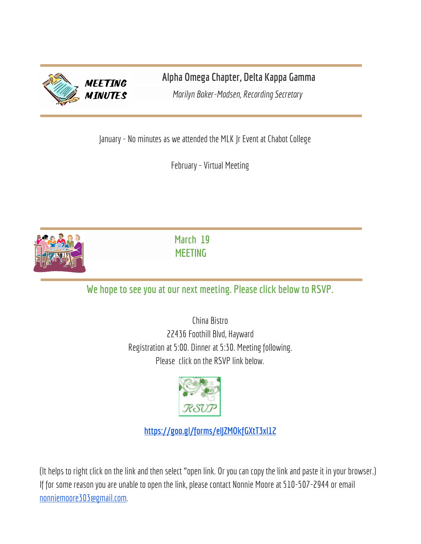

**Alpha Omega Chapter, Delta Kappa Gamma**

*Marilyn Baker-Madsen, Recording Secretary* 

January - No minutes as we attended the MLK Jr Event at Chabot College

February - Virtual Meeting



 **March 19 MEETING**

**We hope tosee you atour next meeting. Please click below to RSVP.**

China Bistro 22436 Foothill Blvd, Hayward Registration at 5:00. Dinner at 5:30. Meeting following. Please click on the RSVP link below.



**<https://goo.gl/forms/elJZMOkfGXtT3xl12>**

(It helps to right click on the link and then select "open link. Or you can copy the link and paste it in your browser.) If for some reason you are unable to open the link, please contact Nonnie Moore at 510-507-2944 or email [nonniemoore303@gmail.com](mailto:nonniemoore303@gmail.com).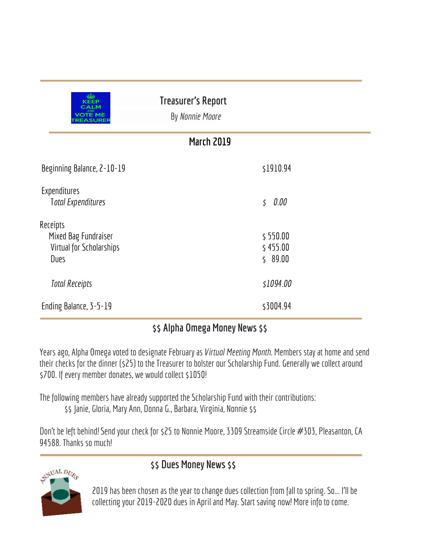| <b>KEEP</b><br>CALM<br><b>OTE ME</b><br>EASUREF                      | <b>Treasurer's Report</b><br>By Nonnie Moore |
|----------------------------------------------------------------------|----------------------------------------------|
|                                                                      | <b>March 2019</b>                            |
| Beginning Balance, 2-10-19                                           | \$1910.94                                    |
| Expenditures<br><b>Total Expenditures</b>                            | 0.00<br>\$                                   |
| Receipts<br>Mixed Bag Fundraiser<br>Virtual for Scholarships<br>Dues | \$550.00<br>\$455.00<br>\$89.00              |
| <b>Total Receipts</b>                                                | \$1094.00                                    |
| Ending Balance, 3-5-19                                               | \$3004.94                                    |

# **\$\$ Alpha Omega Money News\$\$**

Years ago, Alpha Omega voted to designate February as *Virtual Meeting Month*. Members stay athome and send their checks for the dinner (\$25) to the Treasurer to bolster our Scholarship Fund. Generally we collect around \$700. If every member donates, we would collect \$1050!

The following members have already supported the Scholarship Fund with their contributions: \$\$ Janie, Gloria, Mary Ann, Donna G., Barbara, Virginia, Nonnie \$\$

Don't be left behind! Send your check for \$25 to Nonnie Moore, 3309 Streamside Circle #303, Pleasanton, CA 94588. Thanks so much!



### **\$\$ Dues Money News\$\$**

2019 has been chosen as the year to change dues collection from fall to spring. So... I'll be collecting your 2019-2020 dues in April and May. Start saving now! More info to come.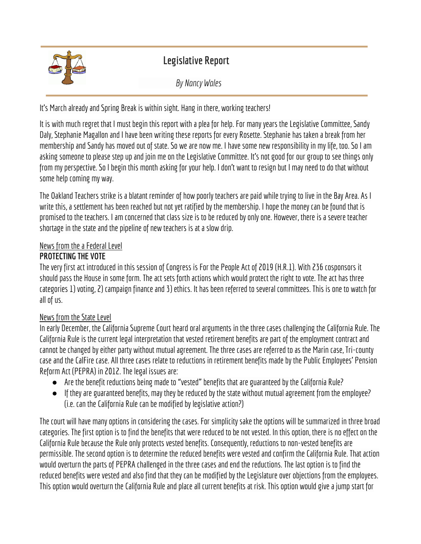

# **Legislative Report**

*By Nancy Wales*

It's March already and Spring Break is within sight. Hang in there, working teachers!

It is with much regret that I must begin this report with a plea for help. For many years the Legislative Committee, Sandy Daly, Stephanie Magallon and I have been writing these reports for every Rosette. Stephanie has taken a break from her membership and Sandy has moved out of state. So we are now me. I have some new responsibility in my life, too. So I am asking someone to please step up and join me on the Legislative Committee. It's not good for our group to see things only from my perspective. So I begin this month asking for your help. I don't want to resign but I may need to do that without some help coming my way.

The Oakland Teachers strike is a blatant reminder of how poorly teachers are paid while trying to live in the Bay Area. As I write this, a settlement has been reached but not yet ratified by the membership. I hope the money can be found that is promised to the teachers. I am concerned that class size is to be reduced by only one. However, there is a severe teacher shortage in the state and the pipeline of new teachers is at a slow drip.

#### News from the a Federal Level

#### **PROTECTING THE VOTE**

The very first act introduced in this session of Congress is For the People Act of 2019 (H.R.1). With 236 cosponsors it should pass the House in some form. The act sets forth actions which would protect the right to vote. The act has three categories 1) voting, 2) campaign finance and 3) ethics. It has been referred to several committees. This is one to watch for all of us.

#### News from the State Level

In early December, the California Supreme Court heard oral arguments in the three cases challenging the California Rule. The California Rule is the current legal interpretation that vested retirement benefits are part of the employment contract and cannot be changed by either party without mutual agreement. The three cases are referred to as the Marin case, Tri-county case and the CalFire case. All three cases relate to reductions in retirement benefits made by the Public Employees' Pension Reform Act (PEPRA) in 2012. The legal issues are:

- Are the benefit reductions being made to "vested" benefits that areguaranteed by the California Rule?
- If they areguaranteed benefits, may they be reduced by the state without mutual agreement from the employee? (i.e. can the California Rule can be modified by legislative action?)

The court will have many options in considering the cases. For simplicity sake the options will be summarized in three broad categories. The first option is to find the benefits that were reduced to be not vested. In this option, there is no effect on the California Rule because the Rule only protects vested benefits. Consequently, reductions to non-vested benefits are permissible. The second option is to determine the reduced benefits were vested and confirm the California Rule. That action would overturn the parts of PEPRA challenged in the three cases and end the reductions. The last option is to find the reduced benefits were vested and also find that they canbe modified by the Legislature over objections from the employees. This option would overturn the California Rule and place all current benefits at risk. This option would give a jump start for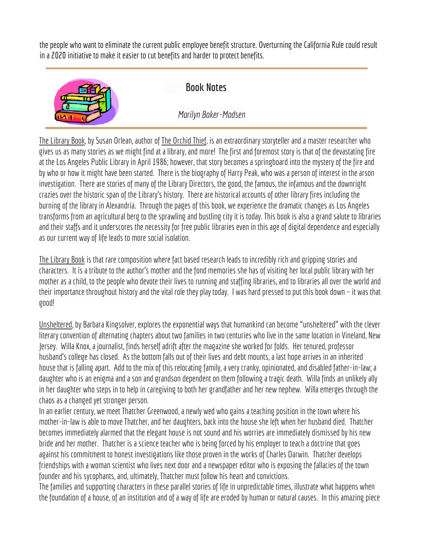the people who want to eliminate the current public employee benefit structure. Overturning the California Rule could result in a 2020 initiative to make it easier to cut benefits and harder to protect benefits.



# **Book Notes**

*Marilyn Baker-Madsen*

The Library Book, by Susan Orlean, author of The Orchid Thief, is an extraordinary storyteller and a master researcher who gives us as many stories as we might find at a library, and more! The first and foremost story is that of the devastating fire at the Los Angeles Public Library in April 1986; however, that story becomes a springboard into the mystery of the fire and by who or how it might have been started. There is the biography of Harry Peak, who was a person of interest in the arson investigation. There are stories of many of the Library Directors, the good, the famous, the infamous and the downright crazies over the historic span of the Library's history. There are historical accounts of other library fires including the burning of the library in Alexandria. Through the pages of this book, we experience the dramatic changes as Los Angeles transforms from an agricultural berg to the sprawling and bustling city it is today. This book is also a grand salute to libraries and their staffs and it underscores the necessity for free public libraries even in this age of digital dependence and especially as our current way of life leads to more social isolation.

The Library Book is that rare composition where fact based research leads to incredibly rich and gripping stories and characters. It is a tribute to the author's mother and the fond memories she has of visiting her local public library with her mother as a child, to the people who devote their lives to running and staffing libraries, and to libraries all over the world and their importance throughout history and the vital role they play today. I was hard pressed to put this book down – it was that good!

Unsheltered, by Barbara Kingsolver, explores the exponential ways that humankind can become "unsheltered" with the clever literary convention of alternating chapters about two families in two centuries who live in the same location in Vineland, New Jersey. Willa Knox, a journalist, finds herself adrift after the magazine she worked for folds. Her tenured, professor husband's college has closed. As the bottom falls out of their lives and debt mounts, a last hope arrives in an inherited house that is falling apart. Add to the mix of this relocating family, a very cranky, opinionated, and disabled father-in-law; a daughter who is an enigma and a son and grandson dependent on them following a tragic death. Willa finds an unlikely ally in her daughter who steps in to help in caregiving to both her grandfather and her new nephew. Willa emerges through the chaos as a changed yet stronger person.

In an earlier century, we meet Thatcher Greenwood, a newly wed who gains a teaching position in the town where his mother-in-law is able to move Thatcher, and her daughters, back into the house she left when her husband died. Thatcher becomes immediately alarmed that the elegant house is not sound and his worries are immediately dismissed by his new bride and her mother. Thatcher is a science teacher who is being forced by his employer to teach a doctrine that goes against his commitment to honest investigations like those proven in the works of Charles Darwin. Thatcher develops friendships with a woman scientist who lives next door and a newspaper editor who is exposing the fallacies of the town founder and his sycophants, and, ultimately, Thatcher must follow his heart and convictions.

The families and supporting characters in these parallel stories of life in unpredictable times, illustrate what happens when the foundation of a house, of an institution and of a way of life are eroded by human or natural causes. In this amazing piece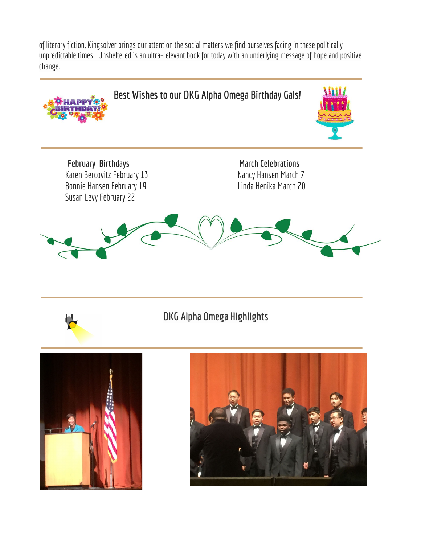of literary fiction, Kingsolver brings our attention the social matters we find ourselves facing in these politically unpredictable times. Unsheltered is an ultra-relevant book for today with an underlying message of hope and positive change.



# H

# **DKG Alpha Omega Highlights**



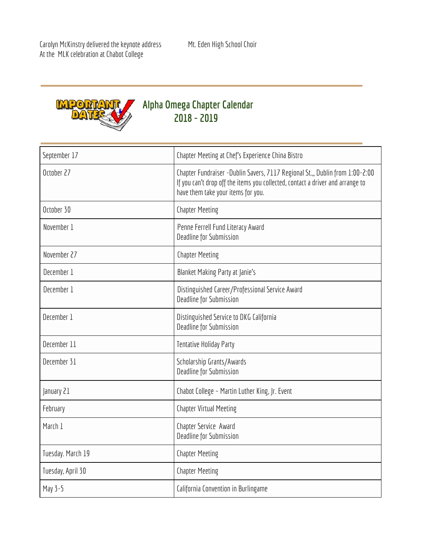Carolyn McKinstry delivered the keynote address Mt. Eden High School Choir At the MLK celebration at Chabot College



# **Alpha Omega Chapter Calendar 2018 - 2019**

| September 17      | Chapter Meeting at Chef's Experience China Bistro                                                                                                                                                     |
|-------------------|-------------------------------------------------------------------------------------------------------------------------------------------------------------------------------------------------------|
| October 27        | Chapter Fundraiser - Dublin Savers, 7117 Regional St.,, Dublin from 1:00-2:00<br>If you can't drop off the items you collected, contact a driver and arrange to<br>have them take your items for you. |
| October 30        | <b>Chapter Meeting</b>                                                                                                                                                                                |
| November 1        | Penne Ferrell Fund Literacy Award<br>Deadline for Submission                                                                                                                                          |
| November 27       | <b>Chapter Meeting</b>                                                                                                                                                                                |
| December 1        | <b>Blanket Making Party at Janie's</b>                                                                                                                                                                |
| December 1        | Distinguished Career/Professional Service Award<br><b>Deadline for Submission</b>                                                                                                                     |
| December 1        | Distinguished Service to DKG California<br>Deadline for Submission                                                                                                                                    |
| December 11       | <b>Tentative Holiday Party</b>                                                                                                                                                                        |
| December 31       | Scholarship Grants/Awards<br>Deadline for Submission                                                                                                                                                  |
| January 21        | Chabot College - Martin Luther King, Jr. Event                                                                                                                                                        |
| February          | <b>Chapter Virtual Meeting</b>                                                                                                                                                                        |
| March 1           | Chapter Service Award<br>Deadline for Submission                                                                                                                                                      |
| Tuesday. March 19 | <b>Chapter Meeting</b>                                                                                                                                                                                |
| Tuesday, April 30 | <b>Chapter Meeting</b>                                                                                                                                                                                |
| May 3-5           | California Convention in Burlingame                                                                                                                                                                   |